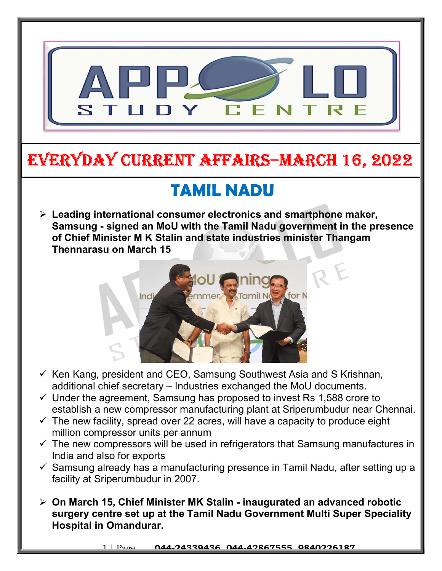

# EVERYDAY CURRENT AFFAIRS–mARCh 16, 2022

-

## TAMIL NADU

 $\triangleright$  Leading international consumer electronics and smartphone maker, Samsung - signed an MoU with the Tamil Nadu government in the presence of Chief Minister M K Stalin and state industries minister Thangam Thennarasu on March 15



- $\checkmark$  Ken Kang, president and CEO, Samsung Southwest Asia and S Krishnan, additional chief secretary – Industries exchanged the MoU documents.
- $\checkmark$  Under the agreement, Samsung has proposed to invest Rs 1,588 crore to establish a new compressor manufacturing plant at Sriperumbudur near Chennai.
- $\checkmark$  The new facility, spread over 22 acres, will have a capacity to produce eight million compressor units per annum
- $\checkmark$  The new compressors will be used in refrigerators that Samsung manufactures in India and also for exports
- $\checkmark$  Samsung already has a manufacturing presence in Tamil Nadu, after setting up a facility at Sriperumbudur in 2007.
- On March 15, Chief Minister MK Stalin inaugurated an advanced robotic surgery centre set up at the Tamil Nadu Government Multi Super Speciality Hospital in Omandurar.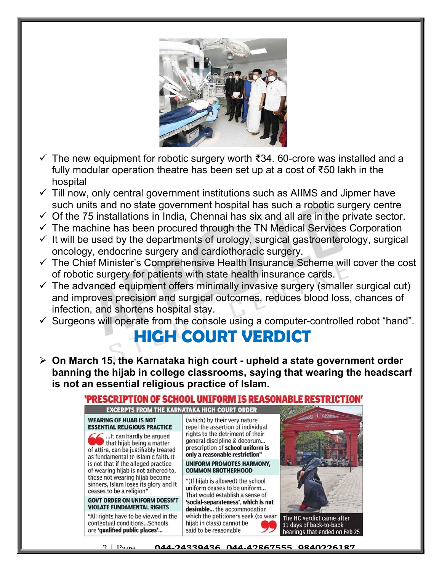

- $\checkmark$  The new equipment for robotic surgery worth ₹34. 60-crore was installed and a fully modular operation theatre has been set up at a cost of ₹50 lakh in the hospital
- $\checkmark$  Till now, only central government institutions such as AIIMS and Jipmer have such units and no state government hospital has such a robotic surgery centre
- $\checkmark$  Of the 75 installations in India, Chennai has six and all are in the private sector.
- $\checkmark$  The machine has been procured through the TN Medical Services Corporation
- $\checkmark$  It will be used by the departments of urology, surgical gastroenterology, surgical oncology, endocrine surgery and cardiothoracic surgery.
- $\checkmark$  The Chief Minister's Comprehensive Health Insurance Scheme will cover the cost of robotic surgery for patients with state health insurance cards.
- $\checkmark$  The advanced equipment offers minimally invasive surgery (smaller surgical cut) and improves precision and surgical outcomes, reduces blood loss, chances of infection, and shortens hospital stay.
- $\checkmark$  Surgeons will operate from the console using a computer-controlled robot "hand".

### HIGH COURT VERDICT

 $\geq$  On March 15, the Karnataka high court - upheld a state government order banning the hijab in college classrooms, saying that wearing the headscarf is not an essential religious practice of Islam.

#### 'PRESCRIPTION OF SCHOOL UNIFORM IS REASONABLE RESTRICTION' **EXCERPTS FROM THE KARNATAKA HIGH COURT ORDER WEARING OF HIJAB IS NOT** (which) by their very nature **ESSENTIAL RELIGIOUS PRACTICE** repel the assertion of individual rights to the detriment of their ... It can hardly be argued general discipline & decorum... that hijab being a matter prescription of school uniform is of attire, can be justifiably treated only a reasonable restriction" as fundamental to Islamic faith. It is not that if the alleged practice **UNIFORM PROMOTES HARMONY.** of wearing hijab is not adhered to, **COMMON BROTHERHOOD** those not wearing hijab become "(If hijab is allowed) the school sinners, Islam loses its glory and it uniform ceases to be uniform... ceases to be a religion' That would establish a sense of **GOVT ORDER ON UNIFORM DOESN'T** 'social-separateness', which is not **VIOLATE FUNDAMENTAL RIGHTS** desirable... the accommodation "All rights have to be viewed in the which the petitioners seek (to wear The HC verdict came after contextual conditions...Schools hijab in class) cannot be 11 days of back-to-back are 'qualified public places'... said to be reasonable hearings that ended on Feb 25

2 | Page 044-24339436, 044-42867555, 9840226187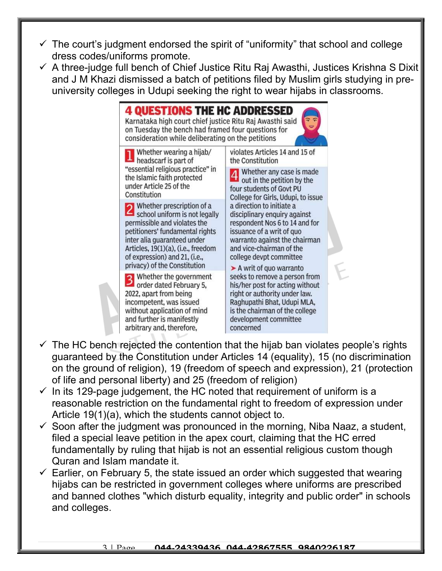- $\checkmark$  The court's judgment endorsed the spirit of "uniformity" that school and college dress codes/uniforms promote.
- $\checkmark$  A three-judge full bench of Chief Justice Ritu Raj Awasthi, Justices Krishna S Dixit and J M Khazi dismissed a batch of petitions filed by Muslim girls studying in preuniversity colleges in Udupi seeking the right to wear hijabs in classrooms.

**4 QUESTIONS THE HC ADDRESSED** Karnataka high court chief justice Ritu Raj Awasthi said on Tuesday the bench had framed four questions for consideration while deliberating on the petitions Whether wearing a hijab/ violates Articles 14 and 15 of headscarf is part of

"essential religious practice" in the Islamic faith protected under Article 25 of the Constitution

2 Whether prescription of a<br>school uniform is not legally permissible and violates the petitioners' fundamental rights inter alia quaranteed under Articles, 19(1)(a), (i.e., freedom of expression) and 21, (i.e., privacy) of the Constitution

Whether the government <sup>3</sup> Whether the governmen<br>order dated February 5,<br>2022 anart from being 2022, apart from being incompetent, was issued without application of mind and further is manifestly arbitrary and, therefore,

the Constitution the Constitution<br>
Whether any case is made<br>
Out in the petition by the

out in the petition by the four students of Govt PU College for Girls, Udupi, to issue a direction to initiate a disciplinary enquiry against respondent Nos 6 to 14 and for issuance of a writ of quo warranto against the chairman and vice-chairman of the college devpt committee

A writ of quo warranto seeks to remove a person from his/her post for acting without right or authority under law. Raghupathi Bhat, Udupi MLA, is the chairman of the college development committee concerned

- $\checkmark$  The HC bench rejected the contention that the hijab ban violates people's rights guaranteed by the Constitution under Articles 14 (equality), 15 (no discrimination on the ground of religion), 19 (freedom of speech and expression), 21 (protection of life and personal liberty) and 25 (freedom of religion)
- $\checkmark$  In its 129-page judgement, the HC noted that requirement of uniform is a reasonable restriction on the fundamental right to freedom of expression under Article 19(1)(a), which the students cannot object to.
- $\checkmark$  Soon after the judgment was pronounced in the morning, Niba Naaz, a student, filed a special leave petition in the apex court, claiming that the HC erred fundamentally by ruling that hijab is not an essential religious custom though Quran and Islam mandate it.
- $\checkmark$  Earlier, on February 5, the state issued an order which suggested that wearing hijabs can be restricted in government colleges where uniforms are prescribed and banned clothes "which disturb equality, integrity and public order" in schools and colleges.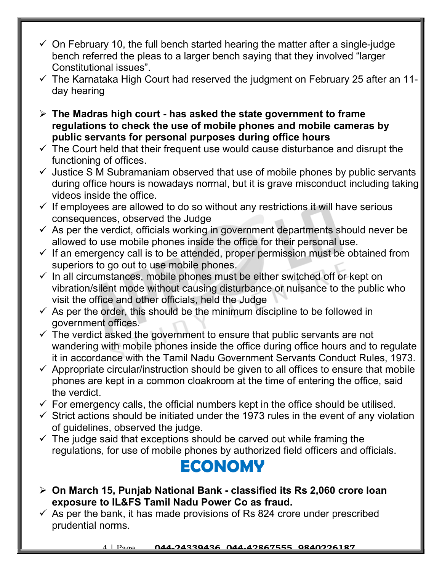- $\checkmark$  On February 10, the full bench started hearing the matter after a single-judge bench referred the pleas to a larger bench saying that they involved "larger Constitutional issues".
- $\checkmark$  The Karnataka High Court had reserved the judgment on February 25 after an 11day hearing
- $\triangleright$  The Madras high court has asked the state government to frame regulations to check the use of mobile phones and mobile cameras by public servants for personal purposes during office hours
- $\checkmark$  The Court held that their frequent use would cause disturbance and disrupt the functioning of offices.
- $\checkmark$  Justice S M Subramaniam observed that use of mobile phones by public servants during office hours is nowadays normal, but it is grave misconduct including taking videos inside the office.
- $\checkmark$  If employees are allowed to do so without any restrictions it will have serious consequences, observed the Judge
- $\checkmark$  As per the verdict, officials working in government departments should never be allowed to use mobile phones inside the office for their personal use.
- $\checkmark$  If an emergency call is to be attended, proper permission must be obtained from superiors to go out to use mobile phones.
- $\checkmark$  In all circumstances, mobile phones must be either switched off or kept on vibration/silent mode without causing disturbance or nuisance to the public who visit the office and other officials, held the Judge
- $\checkmark$  As per the order, this should be the minimum discipline to be followed in government offices.
- $\checkmark$  The verdict asked the government to ensure that public servants are not wandering with mobile phones inside the office during office hours and to regulate it in accordance with the Tamil Nadu Government Servants Conduct Rules, 1973.
- $\checkmark$  Appropriate circular/instruction should be given to all offices to ensure that mobile phones are kept in a common cloakroom at the time of entering the office, said the verdict.
- $\checkmark$  For emergency calls, the official numbers kept in the office should be utilised.
- $\checkmark$  Strict actions should be initiated under the 1973 rules in the event of any violation of guidelines, observed the judge.
- $\checkmark$  The judge said that exceptions should be carved out while framing the regulations, for use of mobile phones by authorized field officers and officials.

#### ECONOMY

- On March 15, Punjab National Bank classified its Rs 2,060 crore loan exposure to IL&FS Tamil Nadu Power Co as fraud.
- $\checkmark$  As per the bank, it has made provisions of Rs 824 crore under prescribed prudential norms.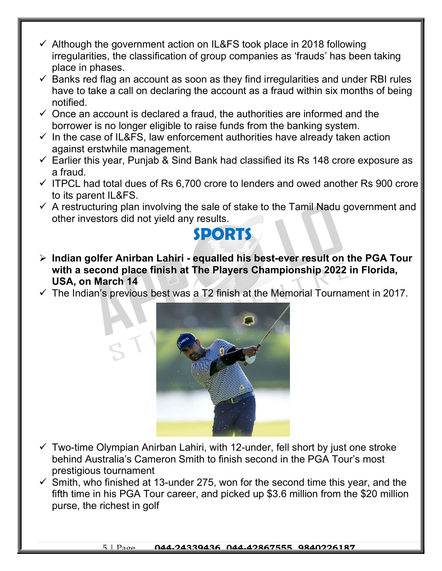- $\checkmark$  Although the government action on IL&FS took place in 2018 following irregularities, the classification of group companies as 'frauds' has been taking place in phases.
- $\checkmark$  Banks red flag an account as soon as they find irregularities and under RBI rules have to take a call on declaring the account as a fraud within six months of being notified.
- $\checkmark$  Once an account is declared a fraud, the authorities are informed and the borrower is no longer eligible to raise funds from the banking system.
- $\checkmark$  In the case of IL&FS, law enforcement authorities have already taken action against erstwhile management.
- $\checkmark$  Earlier this year, Punjab & Sind Bank had classified its Rs 148 crore exposure as a fraud.
- $\checkmark$  ITPCL had total dues of Rs 6,700 crore to lenders and owed another Rs 900 crore to its parent IL&FS.
- $\checkmark$  A restructuring plan involving the sale of stake to the Tamil Nadu government and other investors did not yield any results.



- $\triangleright$  Indian golfer Anirban Lahiri equalled his best-ever result on the PGA Tour with a second place finish at The Players Championship 2022 in Florida, USA, on March 14
- $\checkmark$  The Indian's previous best was a T2 finish at the Memorial Tournament in 2017.



- $\checkmark$  Two-time Olympian Anirban Lahiri, with 12-under, fell short by just one stroke behind Australia's Cameron Smith to finish second in the PGA Tour's most prestigious tournament
- $\checkmark$  Smith, who finished at 13-under 275, won for the second time this year, and the fifth time in his PGA Tour career, and picked up \$3.6 million from the \$20 million purse, the richest in golf